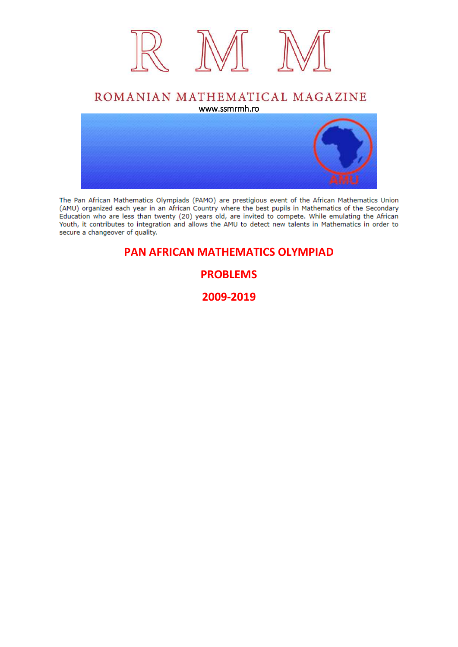

### ROMANIAN MATHEMATICAL MAGAZINE www.ssmrmh.ro



The Pan African Mathematics Olympiads (PAMO) are prestigious event of the African Mathematics Union (AMU) organized each year in an African Country where the best pupils in Mathematics of the Secondary Education who are less than twenty (20) years old, are invited to compete. While emulating the African Youth, it contributes to integration and allows the AMU to detect new talents in Mathematics in order to secure a changeover of quality.

### **PAN AFRICAN MATHEMATICS OLYMPIAD**

### **PROBLEMS**

**2009-2019**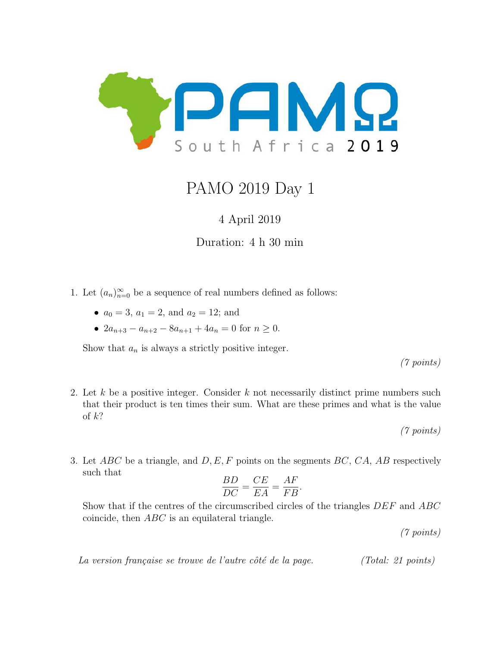

# PAMO 2019 Day 1

### 4 April 2019

### Duration: 4 h 30 min

- 1. Let  $(a_n)_{n=0}^{\infty}$  be a sequence of real numbers defined as follows:
	- $a_0 = 3, a_1 = 2, \text{ and } a_2 = 12; \text{ and}$
	- $2a_{n+3} a_{n+2} 8a_{n+1} + 4a_n = 0$  for  $n \ge 0$ .

Show that  $a_n$  is always a strictly positive integer.

(7 points)

2. Let k be a positive integer. Consider k not necessarily distinct prime numbers such that their product is ten times their sum. What are these primes and what is the value of  $k$ ?

(7 points)

3. Let  $ABC$  be a triangle, and  $D, E, F$  points on the segments  $BC, CA, AB$  respectively such that

$$
\frac{BD}{DC} = \frac{CE}{EA} = \frac{AF}{FB}.
$$

Show that if the centres of the circumscribed circles of the triangles DEF and ABC coincide, then ABC is an equilateral triangle.

(7 points)

La version française se trouve de l'autre côté de la page. (Total: 21 points)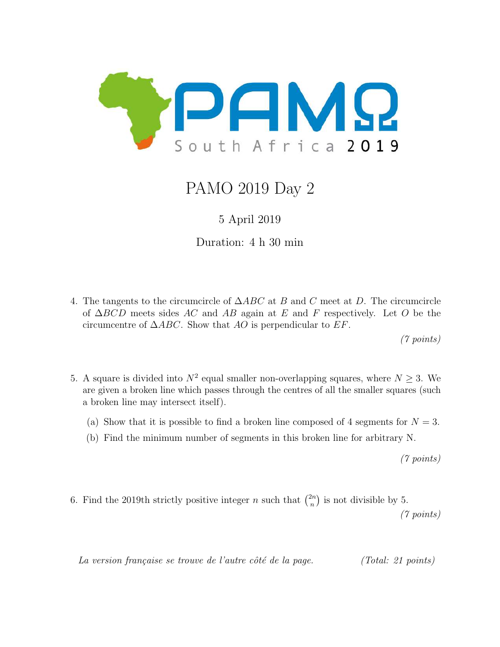

# PAMO 2019 Day 2

### 5 April 2019

Duration: 4 h 30 min

4. The tangents to the circumcircle of  $\triangle ABC$  at B and C meet at D. The circumcircle of  $\Delta BCD$  meets sides AC and AB again at E and F respectively. Let O be the circumcentre of  $\triangle ABC$ . Show that AO is perpendicular to EF.

(7 points)

- 5. A square is divided into  $N^2$  equal smaller non-overlapping squares, where  $N \geq 3$ . We are given a broken line which passes through the centres of all the smaller squares (such a broken line may intersect itself).
	- (a) Show that it is possible to find a broken line composed of 4 segments for  $N = 3$ .
	- (b) Find the minimum number of segments in this broken line for arbitrary N.

(7 points)

6. Find the 2019th strictly positive integer *n* such that  $\binom{2n}{n}$  $\binom{2n}{n}$  is not divisible by 5.

(7 points)

La version française se trouve de l'autre côté de la page. (Total: 21 points)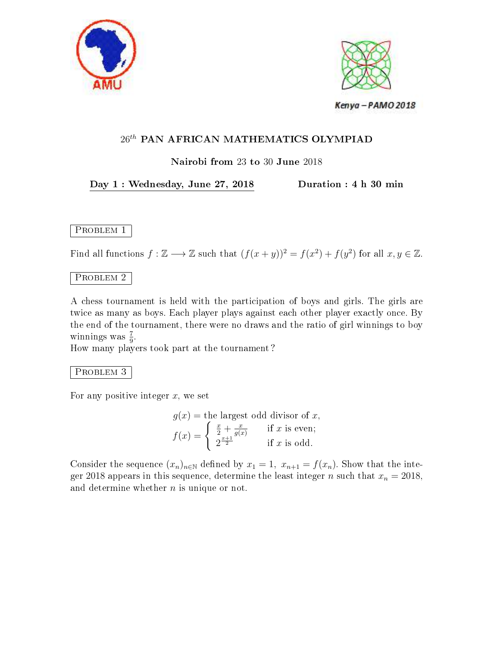



### Nairobi from 23 to 30 June 2018

### Day 1 : Wednesday, June 27, 2018 Duration : 4 h 30 min

### PROBLEM 1

Find all functions  $f : \mathbb{Z} \longrightarrow \mathbb{Z}$  such that  $(f(x+y))^2 = f(x^2) + f(y^2)$  for all  $x, y \in \mathbb{Z}$ .

### PROBLEM 2

A chess tournament is held with the participation of boys and girls. The girls are twice as many as boys. Each player plays against each other player exactly once. By the end of the tournament, there were no draws and the ratio of girl winnings to boy winnings was  $\frac{7}{9}$ .

How many players took part at the tournament ?

#### PROBLEM 3

For any positive integer  $x$ , we set

$$
g(x) = \text{the largest odd divisor of } x,
$$
  

$$
f(x) = \begin{cases} \frac{x}{2} + \frac{x}{g(x)} & \text{if } x \text{ is even;} \\ 2^{\frac{x+1}{2}} & \text{if } x \text{ is odd.} \end{cases}
$$

Consider the sequence  $(x_n)_{n\in\mathbb{N}}$  defined by  $x_1 = 1$ ,  $x_{n+1} = f(x_n)$ . Show that the integer 2018 appears in this sequence, determine the least integer n such that  $x_n = 2018$ , and determine whether  $n$  is unique or not.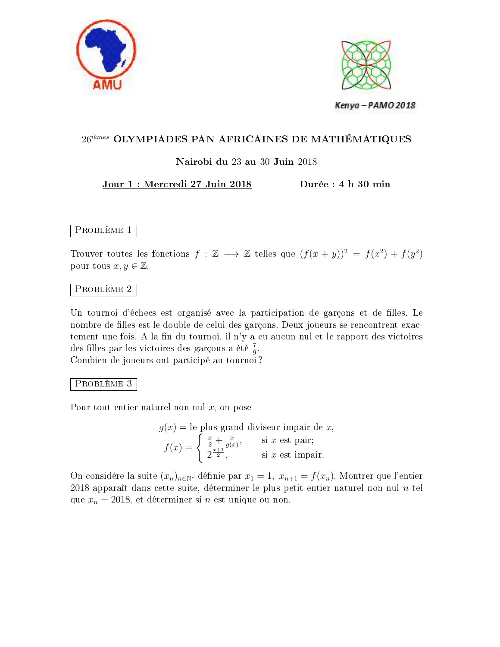



### $26^{i\`{e}mes}$  OLYMPIADES PAN AFRICAINES DE MATHÉMATIQUES

### Nairobi du 23 au 30 Juin 2018

#### Jour 1 : Mercredi 27 Juin 2018 Durée : 4 h 30 min

PROBLÈME 1

Trouver toutes les fonctions  $f : \mathbb{Z} \longrightarrow \mathbb{Z}$  telles que  $(f(x + y))^2 = f(x^2) + f(y^2)$ pour tous  $x, y \in \mathbb{Z}$ .

#### Problème 2

Un tournoi d'échecs est organisé avec la participation de garçons et de filles. Le nombre de filles est le double de celui des garçons. Deux joueurs se rencontrent exactement une fois. A la fin du tournoi, il n'y a eu aucun nul et le rapport des victoires des filles par les victoires des garçons a été  $\frac{7}{9}$ .

Combien de joueurs ont participé au tournoi ?

#### Problème 3

Pour tout entier naturel non nul  $x$ , on pose

$$
g(x) = \text{le plus grand divisor impair de } x,
$$

$$
f(x) = \begin{cases} \frac{x}{2} + \frac{x}{g(x)}, & \text{si } x \text{ est pair;} \\ 2^{\frac{x+1}{2}}, & \text{si } x \text{ est impair.} \end{cases}
$$

On considère la suite  $(x_n)_{n\in\mathbb{N}^*}$  définie par  $x_1 = 1, x_{n+1} = f(x_n)$ . Montrer que l'entier 2018 apparaît dans cette suite, déterminer le plus petit entier naturel non nul  $n$  tel que  $x_n = 2018$ , et déterminer si n est unique ou non.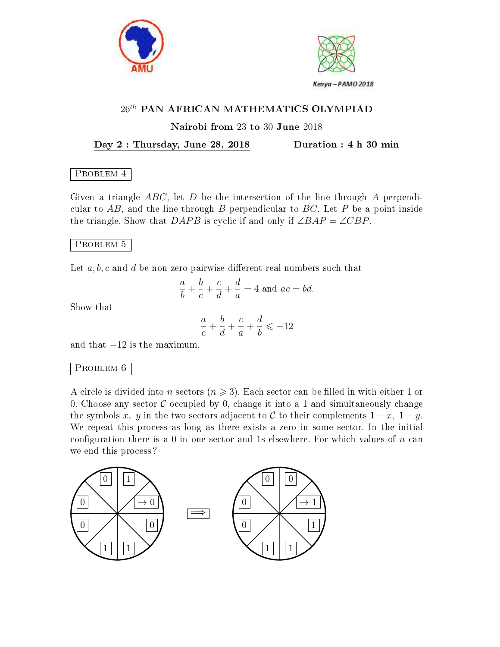



#### Nairobi from 23 to 30 June 2018

Day 2 : Thursday, June 28, 2018 Duration : 4 h 30 min

#### PROBLEM 4

Given a triangle  $ABC$ , let D be the intersection of the line through A perpendicular to  $AB$ , and the line through B perpendicular to BC. Let P be a point inside the triangle. Show that DAPB is cyclic if and only if  $\angle BAP = \angle CBP$ .

#### PROBLEM 5

Let  $a, b, c$  and d be non-zero pairwise different real numbers such that

$$
\frac{a}{b} + \frac{b}{c} + \frac{c}{d} + \frac{d}{a} = 4
$$
 and  $ac = bd$ .

Show that

$$
\frac{a}{c}+\frac{b}{d}+\frac{c}{a}+\frac{d}{b}\leqslant -12
$$

and that  $-12$  is the maximum.

#### PROBLEM 6

A circle is divided into n sectors  $(n \geq 3)$ . Each sector can be filled in with either 1 or 0. Choose any sector  $C$  occupied by 0, change it into a 1 and simultaneously change the symbols x, y in the two sectors adjacent to C to their complements  $1-x$ ,  $1-y$ . We repeat this process as long as there exists a zero in some sector. In the initial configuration there is a 0 in one sector and 1s elsewhere. For which values of  $n$  can we end this process ?

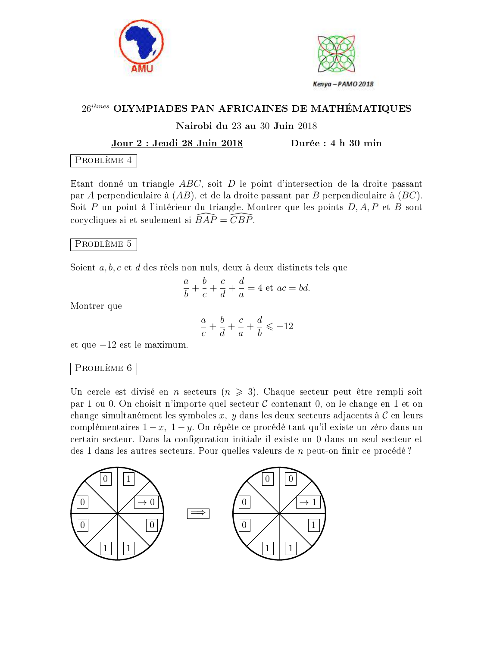



#### $26^{i\`{e}mes}$  OLYMPIADES PAN AFRICAINES DE MATHÉMATIQUES

#### Nairobi du 23 au 30 Juin 2018

#### Jour 2 : Jeudi 28 Juin 2018 Durée : 4 h 30 min

#### Problème 4

Etant donné un triangle ABC, soit D le point d'intersection de la droite passant par A perpendiculaire à  $(AB)$ , et de la droite passant par B perpendiculaire à  $(BC)$ . Soit P un point à l'intérieur du triangle. Montrer que les points  $D, A, P$  et B sont cocycliques si et seulement si  $\overline{BAP} = \overline{CBP}$ .

#### Problème 5

Soient a, b, c et d des réels non nuls, deux à deux distincts tels que

$$
\frac{a}{b} + \frac{b}{c} + \frac{c}{d} + \frac{d}{a} = 4 \text{ et } ac = bd.
$$

Montrer que

$$
\frac{a}{c} + \frac{b}{d} + \frac{c}{a} + \frac{d}{b} \leqslant -12
$$

et que −12 est le maximum.

#### Problème 6

Un cercle est divisé en n secteurs  $(n \geq 3)$ . Chaque secteur peut être rempli soit par 1 ou 0. On choisit n'importe quel secteur  $\mathcal C$  contenant 0, on le change en 1 et on change simultanément les symboles  $x, y$  dans les deux secteurs adjacents à  $\mathcal C$  en leurs complémentaires  $1-x$ ,  $1-y$ . On répète ce procédé tant qu'il existe un zéro dans un certain secteur. Dans la configuration initiale il existe un 0 dans un seul secteur et des 1 dans les autres secteurs. Pour quelles valeurs de  $n$  peut-on finir ce procédé?

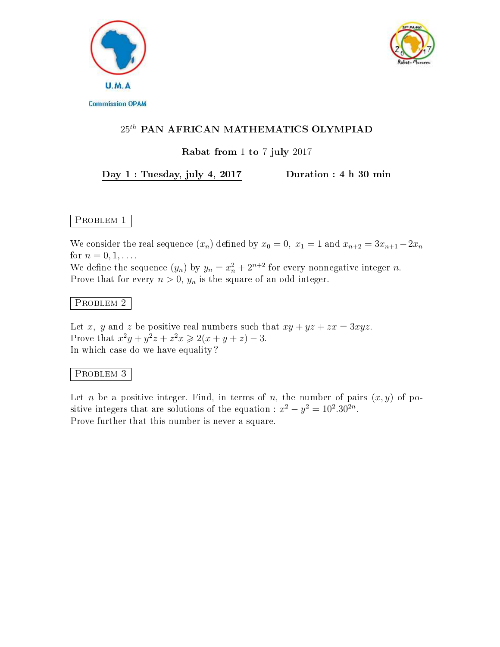



### $25<sup>th</sup>$  PAN AFRICAN MATHEMATICS OLYMPIAD

#### Rabat from 1 to 7 july 2017

#### Day 1 : Tuesday, july 4, 2017 Duration : 4 h 30 min

### PROBLEM 1

We consider the real sequence  $(x_n)$  defined by  $x_0 = 0$ ,  $x_1 = 1$  and  $x_{n+2} = 3x_{n+1} - 2x_n$ for  $n = 0, 1, \ldots$ .

We define the sequence  $(y_n)$  by  $y_n = x_n^2 + 2^{n+2}$  for every nonnegative integer n. Prove that for every  $n > 0$ ,  $y_n$  is the square of an odd integer.

#### Problem 2

Let x, y and z be positive real numbers such that  $xy + yz + zx = 3xyz$ . Prove that  $x^2y + y^2z + z^2x \ge 2(x + y + z) - 3$ . In which case do we have equality ?

#### Problem 3

Let n be a positive integer. Find, in terms of n, the number of pairs  $(x, y)$  of positive integers that are solutions of the equation :  $x^2 - y^2 = 10^2.30^{2n}$ . Prove further that this number is never a square.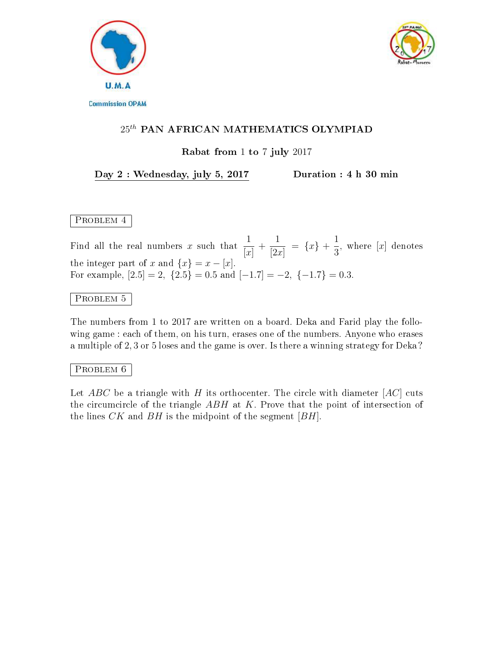



#### Rabat from 1 to 7 july 2017

#### Day 2 : Wednesday, july 5, 2017 Duration : 4 h 30 min

### PROBLEM 4

Find all the real numbers x such that  $\frac{1}{1}$  $[x]$  $^{+}$ 1  $[2x]$  $= \{x\} + \frac{1}{2}$ 3 , where  $[x]$  denotes the integer part of x and  $\{x\} = x - [x]$ . For example,  $[2.5] = 2$ ,  $\{2.5\} = 0.5$  and  $[-1.7] = -2$ ,  $\{-1.7\} = 0.3$ .

#### PROBLEM 5

The numbers from 1 to 2017 are written on a board. Deka and Farid play the following game : each of them, on his turn, erases one of the numbers. Anyone who erases a multiple of 2, 3 or 5 loses and the game is over. Is there a winning strategy for Deka ?

#### PROBLEM 6

Let ABC be a triangle with H its orthocenter. The circle with diameter  $[AC]$  cuts the circumcircle of the triangle  $ABH$  at K. Prove that the point of intersection of the lines  $CK$  and  $BH$  is the midpoint of the segment  $[BH]$ .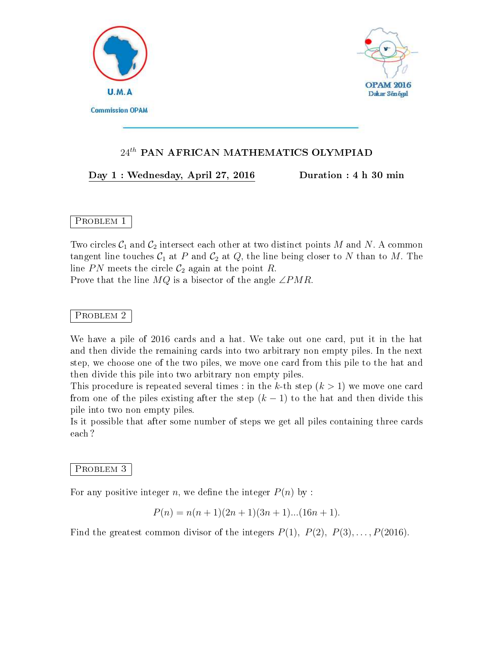



#### Day 1 : Wednesday, April 27, 2016 Duration : 4 h 30 min

### PROBLEM 1

Two circles  $C_1$  and  $C_2$  intersect each other at two distinct points M and N. A common tangent line touches  $C_1$  at P and  $C_2$  at Q, the line being closer to N than to M. The line PN meets the circle  $C_2$  again at the point R.

Prove that the line  $MQ$  is a bisector of the angle  $\angle PMR$ .

#### PROBLEM 2

We have a pile of 2016 cards and a hat. We take out one card, put it in the hat and then divide the remaining cards into two arbitrary non empty piles. In the next step, we choose one of the two piles, we move one card from this pile to the hat and then divide this pile into two arbitrary non empty piles.

This procedure is repeated several times : in the k-th step  $(k > 1)$  we move one card from one of the piles existing after the step  $(k-1)$  to the hat and then divide this pile into two non empty piles.

Is it possible that after some number of steps we get all piles containing three cards each ?

#### PROBLEM<sub>3</sub>

For any positive integer n, we define the integer  $P(n)$  by :

$$
P(n) = n(n+1)(2n+1)(3n+1)...(16n+1).
$$

Find the greatest common divisor of the integers  $P(1)$ ,  $P(2)$ ,  $P(3)$ ,...,  $P(2016)$ .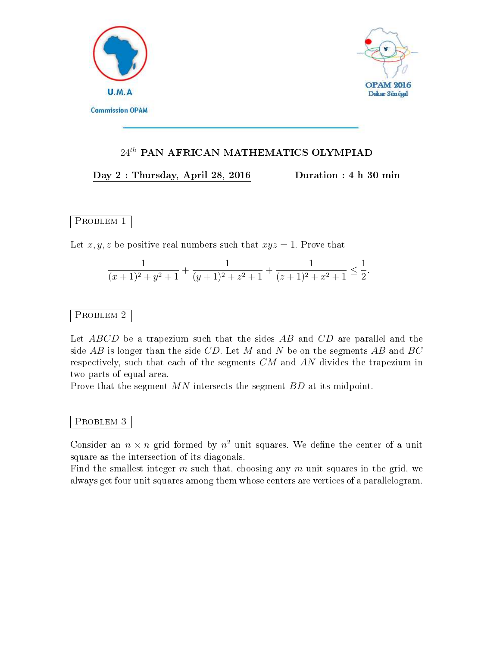



#### Day 2 : Thursday, April 28, 2016 Duration : 4 h 30 min

PROBLEM<sub>1</sub>

Let x, y, z be positive real numbers such that  $xyz = 1$ . Prove that

$$
\frac{1}{(x+1)^2+y^2+1}+\frac{1}{(y+1)^2+z^2+1}+\frac{1}{(z+1)^2+x^2+1}\leq \frac{1}{2}.
$$

### PROBLEM<sub>2</sub>

Let ABCD be a trapezium such that the sides AB and CD are parallel and the side  $AB$  is longer than the side CD. Let M and N be on the segments AB and BC respectively, such that each of the segments CM and AN divides the trapezium in two parts of equal area.

Prove that the segment MN intersects the segment BD at its midpoint.

#### PROBLEM 3

Consider an  $n \times n$  grid formed by  $n^2$  unit squares. We define the center of a unit square as the intersection of its diagonals.

Find the smallest integer  $m$  such that, choosing any  $m$  unit squares in the grid, we always get four unit squares among them whose centers are vertices of a parallelogram.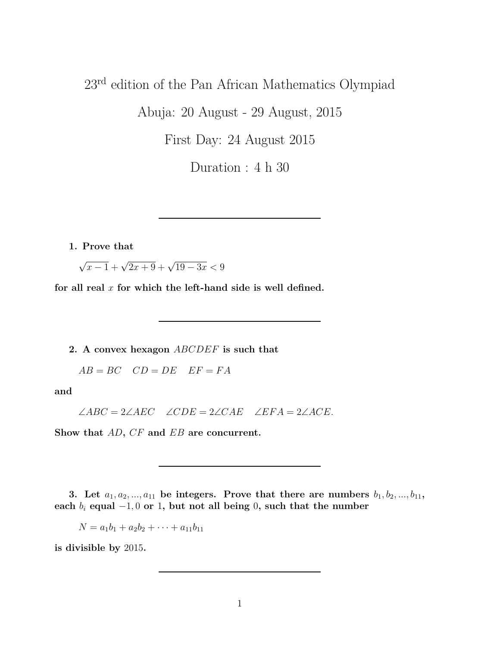# 23rd edition of the Pan African Mathematics Olympiad

Abuja: 20 August - 29 August, 2015

First Day: 24 August 2015

Duration : 4 h 30

**1. Prove that**

 $\sqrt{x-1} + \sqrt{2x+9} + \sqrt{19-3x} < 9$ 

**for all real** *x* **for which the left-hand side is well defined.**

**2. A convex hexagon** *ABCDEF* **is such that**

 $AB = BC \quad CD = DE \quad EF = FA$ 

**and**

∠*ABC* = 2∠*AEC* ∠*CDE* = 2∠*CAE* ∠*EF A* = 2∠*ACE.*

**Show that** *AD***,** *CF* **and** *EB* **are concurrent.**

**3.** Let  $a_1, a_2, \ldots, a_{11}$  be integers. Prove that there are numbers  $b_1, b_2, \ldots, b_{11}$ , **each**  $b_i$  **equal** −1,0 **or** 1, but not all being 0, such that the number

 $N = a_1b_1 + a_2b_2 + \cdots + a_{11}b_{11}$ 

**is divisible by** 2015**.**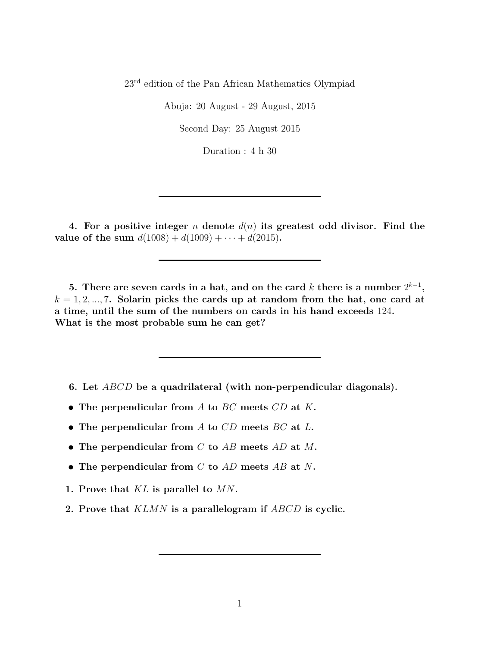23rd edition of the Pan African Mathematics Olympiad

Abuja: 20 August - 29 August, 2015

Second Day: 25 August 2015

Duration : 4 h 30

**4. For a positive integer** *n* **denote** *d*(*n*) **its greatest odd divisor. Find the value of the sum**  $d(1008) + d(1009) + \cdots + d(2015)$ .

**5.** There are seven cards in a hat, and on the card  $k$  there is a number  $2^{k-1}$ ,  $k = 1, 2, \ldots, 7$ . Solarin picks the cards up at random from the hat, one card at **a time, until the sum of the numbers on cards in his hand exceeds** 124**. What is the most probable sum he can get?**

- **6. Let** *ABCD* **be a quadrilateral (with non-perpendicular diagonals).**
- **• The perpendicular from** *A* **to** *BC* **meets** *CD* **at** *K***.**
- **• The perpendicular from** *A* **to** *CD* **meets** *BC* **at** *L***.**
- **• The perpendicular from** *C* **to** *AB* **meets** *AD* **at** *M***.**
- **• The perpendicular from** *C* **to** *AD* **meets** *AB* **at** *N***.**
- **1. Prove that** *KL* **is parallel to** *MN***.**
- **2. Prove that** *KLMN* **is a parallelogram if** *ABCD* **is cyclic.**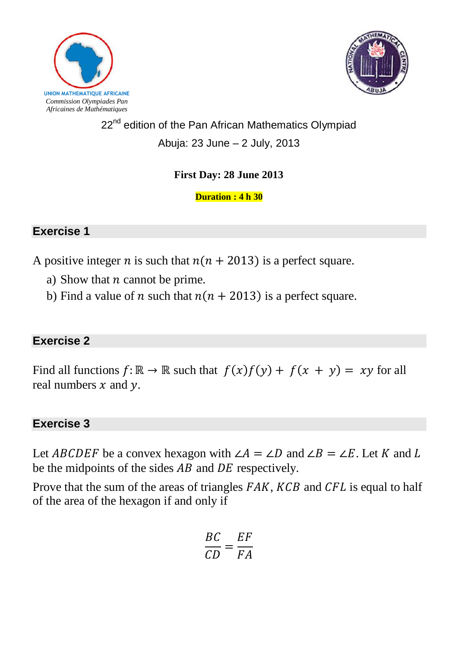



# 22<sup>nd</sup> edition of the Pan African Mathematics Olympiad Abuja: 23 June – 2 July, 2013

# **First Day: 28 June 2013**

**Duration : 4 h 30**

### **Exercise 1**

A positive integer *n* is such that  $n(n + 2013)$  is a perfect square.

- a) Show that  $n$  cannot be prime.
- b) Find a value of *n* such that  $n(n + 2013)$  is a perfect square.

### **Exercise 2**

Find all functions  $f: \mathbb{R} \to \mathbb{R}$  such that  $f(x)f(y) + f(x + y) = xy$  for all real numbers  $x$  and  $y$ .

### **Exercise 3**

Let ABCDEF be a convex hexagon with ∠  $\angle A = \angle D$  and ∠  $\angle B = \angle E$ . Let K and L be the midpoints of the sides  $AB$  and  $DE$  respectively.

Prove that the sum of the areas of triangles  $FAK$ ,  $KCB$  and  $CFL$  is equal to half of the area of the hexagon if and only if

$$
\frac{BC}{CD} = \frac{EF}{FA}
$$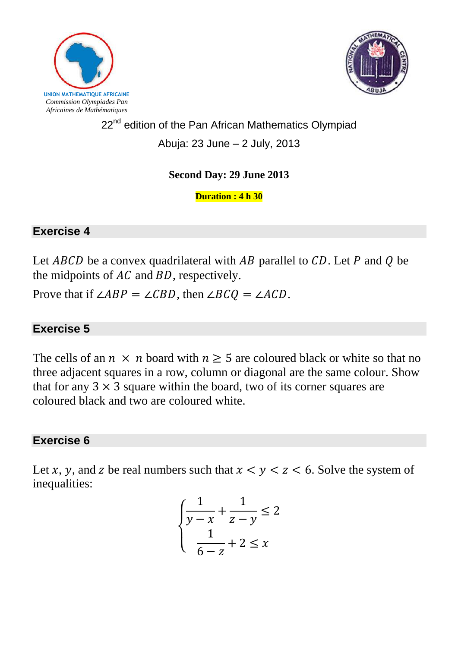



# 22<sup>nd</sup> edition of the Pan African Mathematics Olympiad Abuja: 23 June – 2 July, 2013

### **Second Day: 29 June 2013**

**Duration : 4 h 30**

### **Exercise 4**

Let  $ABCD$  be a convex quadrilateral with AB parallel to CD. Let P and Q be the midpoints of  $AC$  and  $BD$ , respectively.

Prove that if  $\angle ABP = \angle CBD$ , then  $\angle B CQ = \angle ACD$ .

# **Exercise 5**

The cells of an  $n \times n$  board with  $n > 5$  are coloured black or white so that no three adjacent squares in a row, column or diagonal are the same colour. Show that for any  $3 \times 3$  square within the board, two of its corner squares are coloured black and two are coloured white.

# **Exercise 6**

Let x, y, and z be real numbers such that  $x < y < z < 6$ . Solve the system of inequalities:

$$
\begin{cases} \frac{1}{y-x} + \frac{1}{z-y} \le 2\\ \frac{1}{6-z} + 2 \le x \end{cases}
$$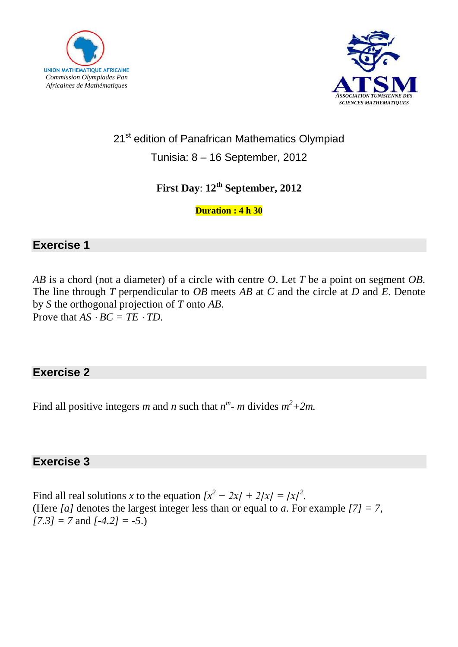



# 21<sup>st</sup> edition of Panafrican Mathematics Olympiad

Tunisia: 8 – 16 September, 2012

# **First Day**: **12th September, 2012**

### **Duration : 4 h 30**

### **Exercise 1**

*AB* is a chord (not a diameter) of a circle with centre *O*. Let *T* be a point on segment *OB*. The line through *T* perpendicular to *OB* meets *AB* at *C* and the circle at *D* and *E*. Denote by *S* the orthogonal projection of *T* onto *AB*. Prove that  $AS \cdot BC = TE \cdot TD$ .

### **Exercise 2**

Find all positive integers *m* and *n* such that  $n^m$ - *m* divides  $m^2 + 2m$ .

### **Exercise 3**

Find all real solutions *x* to the equation  $[x^2 - 2x] + 2[$ *x* $] = [x]^2$ . (Here *[a]* denotes the largest integer less than or equal to *a*. For example *[7] = 7*, *[7.3] = 7* and *[-4.2] = -5*.)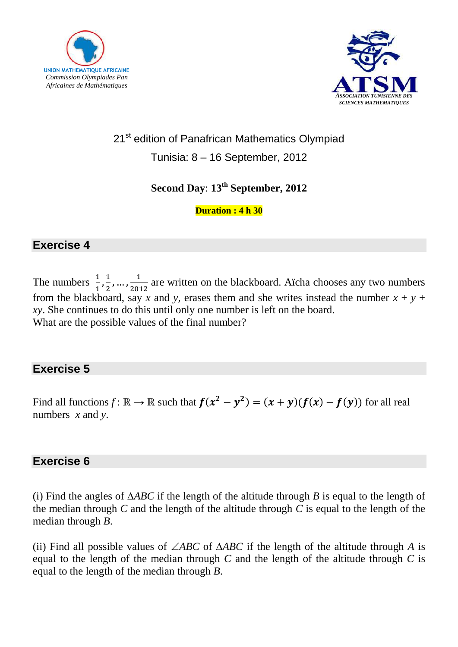



# 21<sup>st</sup> edition of Panafrican Mathematics Olympiad

Tunisia: 8 – 16 September, 2012

### **Second Day**: **13 th September, 2012**

### **Duration : 4 h 30**

### **Exercise 4**

The numbers  $\frac{1}{1}, \frac{1}{2}$  $\frac{1}{2}, \ldots, \frac{1}{201}$  $\frac{1}{2012}$  are written on the blackboard. Aïcha chooses any two numbers from the blackboard, say *x* and *y*, erases them and she writes instead the number  $x + y +$ *xy*. She continues to do this until only one number is left on the board. What are the possible values of the final number?

### **Exercise 5**

Find all functions  $f: \mathbb{R} \to \mathbb{R}$  such that  $f(x^2 - y^2) = (x + y)(f(x) - f(y))$  for all real numbers *x* and *y*.

### **Exercise 6**

(i) Find the angles of *ABC* if the length of the altitude through *B* is equal to the length of the median through *C* and the length of the altitude through *C* is equal to the length of the median through *B*.

(ii) Find all possible values of  $\angle ABC$  of  $\triangle ABC$  if the length of the altitude through A is equal to the length of the median through *C* and the length of the altitude through *C* is equal to the length of the median through *B*.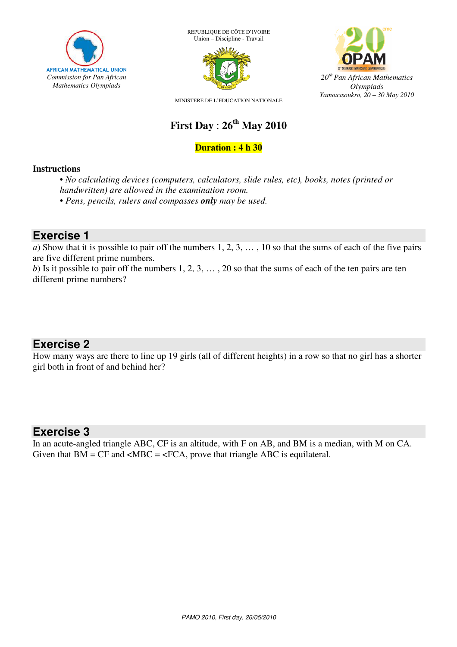

REPUBLIQUE DE CÔTE D'IVOIRE Union – Discipline - Travail





MINISTERE DE L'EDUCATION NATIONALE

# **First Day** : **26th May 2010**

#### **Duration : 4 h 30**

#### **Instructions**

• *No calculating devices (computers, calculators, slide rules, etc), books, notes (printed or handwritten) are allowed in the examination room.*

• *Pens, pencils, rulers and compasses only may be used.* 

### **Exercise 1**

*a*) Show that it is possible to pair off the numbers 1, 2, 3, ..., 10 so that the sums of each of the five pairs are five different prime numbers.

*b*) Is it possible to pair off the numbers  $1, 2, 3, \ldots, 20$  so that the sums of each of the ten pairs are ten different prime numbers?

### **Exercise 2**

How many ways are there to line up 19 girls (all of different heights) in a row so that no girl has a shorter girl both in front of and behind her?

### **Exercise 3**

In an acute-angled triangle ABC, CF is an altitude, with F on AB, and BM is a median, with M on CA. Given that  $BM = CF$  and  $\langle MBC = \langle FCA, \text{prove that triangle ABC is equilateral.} \rangle$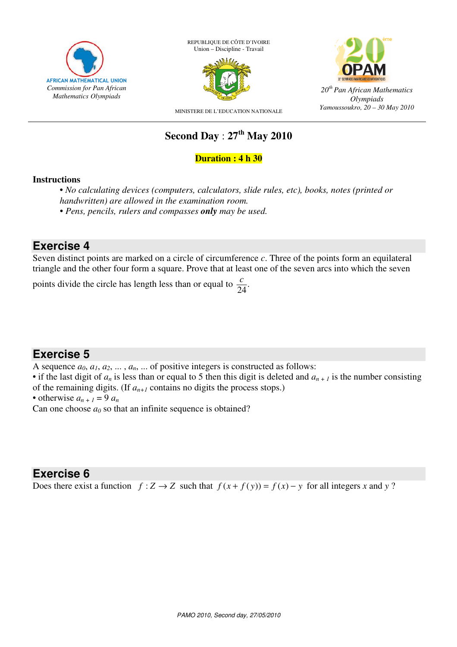

REPUBLIQUE DE CÔTE D'IVOIRE Union – Discipline - Travail





MINISTERE DE L'EDUCATION NATIONALE

# **Second Day** : **27th May 2010**

#### **Duration : 4 h 30**

#### **Instructions**

• *No calculating devices (computers, calculators, slide rules, etc), books, notes (printed or handwritten) are allowed in the examination room.*

• *Pens, pencils, rulers and compasses only may be used.* 

### **Exercise 4**

Seven distinct points are marked on a circle of circumference *c*. Three of the points form an equilateral triangle and the other four form a square. Prove that at least one of the seven arcs into which the seven

points divide the circle has length less than or equal to  $\frac{c}{24}$ . *c*

### **Exercise 5**

A sequence  $a_0, a_1, a_2, \ldots, a_n, \ldots$  of positive integers is constructed as follows:

• if the last digit of  $a_n$  is less than or equal to 5 then this digit is deleted and  $a_{n+1}$  is the number consisting of the remaining digits. (If  $a_{n+1}$  contains no digits the process stops.)

• otherwise  $a_{n+1} = 9$   $a_n$ 

Can one choose  $a_0$  so that an infinite sequence is obtained?

### **Exercise 6**

Does there exist a function *f* : *Z* → *Z* such that  $f(x+f(y)) = f(x) - y$  for all integers *x* and *y* ?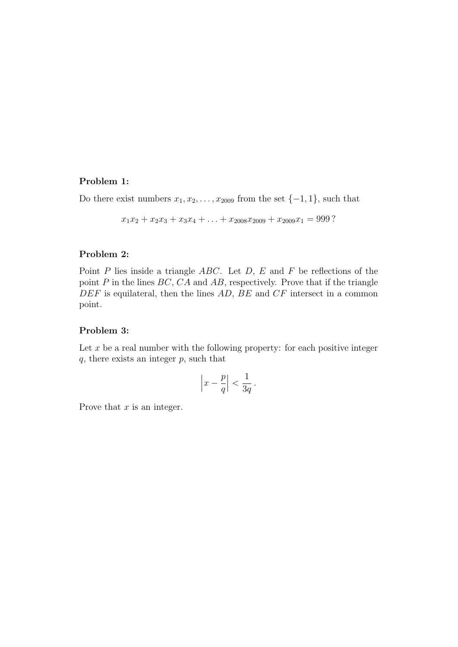#### Problem 1:

Do there exist numbers  $x_1, x_2, \ldots, x_{2009}$  from the set  $\{-1, 1\}$ , such that

 $x_1x_2 + x_2x_3 + x_3x_4 + \ldots + x_{2008}x_{2009} + x_{2009}x_1 = 999$ ?

#### Problem 2:

Point  $P$  lies inside a triangle  $ABC$ . Let  $D$ ,  $E$  and  $F$  be reflections of the point  $P$  in the lines  $BC$ ,  $CA$  and  $AB$ , respectively. Prove that if the triangle  $DEF$  is equilateral, then the lines  $AD, BE$  and  $CF$  intersect in a common point.

#### Problem 3:

Let  $x$  be a real number with the following property: for each positive integer  $q$ , there exists an integer  $p$ , such that

$$
\left|x - \frac{p}{q}\right| < \frac{1}{3q} \, .
$$

Prove that  $x$  is an integer.